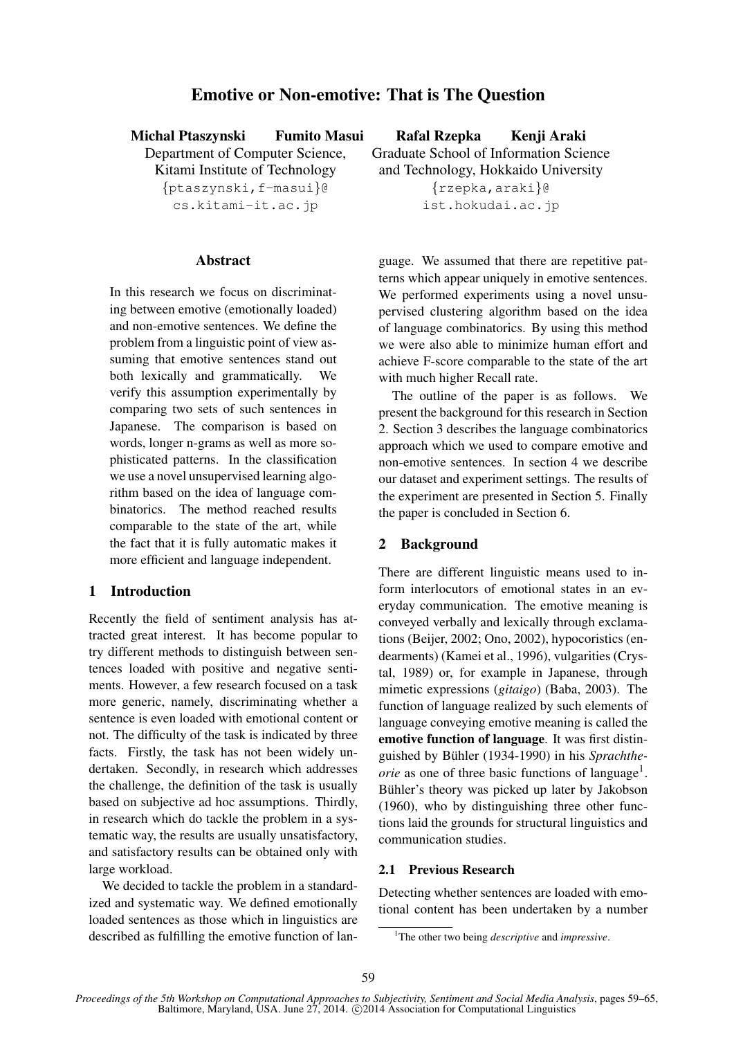# Emotive or Non-emotive: That is The Question

| <b>Michal Ptaszynski</b>        | <b>Fumito Masui</b> | Rafal Rzepka                           | Kenji Araki |  |
|---------------------------------|---------------------|----------------------------------------|-------------|--|
| Department of Computer Science, |                     | Graduate School of Information Science |             |  |
| Kitami Institute of Technology  |                     | and Technology, Hokkaido University    |             |  |
| {ptaszynski, f-masui}@          |                     | $\{rzepka, araki\}$ @                  |             |  |
| cs.kitami-it.ac.jp              |                     | ist.hokudai.ac.jp                      |             |  |

## **Abstract**

In this research we focus on discriminating between emotive (emotionally loaded) and non-emotive sentences. We define the problem from a linguistic point of view assuming that emotive sentences stand out both lexically and grammatically. We verify this assumption experimentally by comparing two sets of such sentences in Japanese. The comparison is based on words, longer n-grams as well as more sophisticated patterns. In the classification we use a novel unsupervised learning algorithm based on the idea of language combinatorics. The method reached results comparable to the state of the art, while the fact that it is fully automatic makes it more efficient and language independent.

## 1 Introduction

Recently the field of sentiment analysis has attracted great interest. It has become popular to try different methods to distinguish between sentences loaded with positive and negative sentiments. However, a few research focused on a task more generic, namely, discriminating whether a sentence is even loaded with emotional content or not. The difficulty of the task is indicated by three facts. Firstly, the task has not been widely undertaken. Secondly, in research which addresses the challenge, the definition of the task is usually based on subjective ad hoc assumptions. Thirdly, in research which do tackle the problem in a systematic way, the results are usually unsatisfactory, and satisfactory results can be obtained only with large workload.

We decided to tackle the problem in a standardized and systematic way. We defined emotionally loaded sentences as those which in linguistics are described as fulfilling the emotive function of language. We assumed that there are repetitive patterns which appear uniquely in emotive sentences. We performed experiments using a novel unsupervised clustering algorithm based on the idea of language combinatorics. By using this method we were also able to minimize human effort and achieve F-score comparable to the state of the art with much higher Recall rate.

The outline of the paper is as follows. We present the background for this research in Section 2. Section 3 describes the language combinatorics approach which we used to compare emotive and non-emotive sentences. In section 4 we describe our dataset and experiment settings. The results of the experiment are presented in Section 5. Finally the paper is concluded in Section 6.

#### 2 Background

There are different linguistic means used to inform interlocutors of emotional states in an everyday communication. The emotive meaning is conveyed verbally and lexically through exclamations (Beijer, 2002; Ono, 2002), hypocoristics (endearments) (Kamei et al., 1996), vulgarities (Crystal, 1989) or, for example in Japanese, through mimetic expressions (*gitaigo*) (Baba, 2003). The function of language realized by such elements of language conveying emotive meaning is called the emotive function of language. It was first distinguished by Bühler (1934-1990) in his *Sprachthe*orie as one of three basic functions of language<sup>1</sup>. Bühler's theory was picked up later by Jakobson (1960), who by distinguishing three other functions laid the grounds for structural linguistics and communication studies.

## 2.1 Previous Research

Detecting whether sentences are loaded with emotional content has been undertaken by a number

<sup>1</sup>The other two being *descriptive* and *impressive*.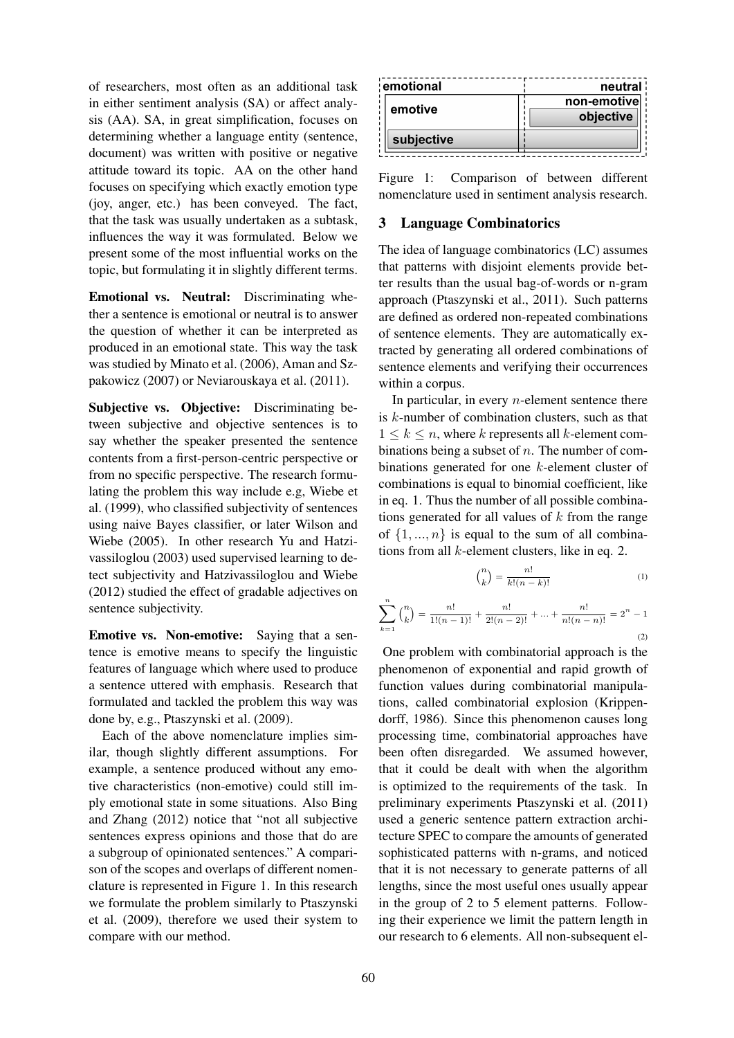of researchers, most often as an additional task in either sentiment analysis (SA) or affect analysis (AA). SA, in great simplification, focuses on determining whether a language entity (sentence, document) was written with positive or negative attitude toward its topic. AA on the other hand focuses on specifying which exactly emotion type (joy, anger, etc.) has been conveyed. The fact, that the task was usually undertaken as a subtask, influences the way it was formulated. Below we present some of the most influential works on the topic, but formulating it in slightly different terms.

Emotional vs. Neutral: Discriminating whether a sentence is emotional or neutral is to answer the question of whether it can be interpreted as produced in an emotional state. This way the task was studied by Minato et al. (2006), Aman and Szpakowicz (2007) or Neviarouskaya et al. (2011).

Subjective vs. Objective: Discriminating between subjective and objective sentences is to say whether the speaker presented the sentence contents from a first-person-centric perspective or from no specific perspective. The research formulating the problem this way include e.g, Wiebe et al. (1999), who classified subjectivity of sentences using naive Bayes classifier, or later Wilson and Wiebe (2005). In other research Yu and Hatzivassiloglou (2003) used supervised learning to detect subjectivity and Hatzivassiloglou and Wiebe (2012) studied the effect of gradable adjectives on sentence subjectivity.

Emotive vs. Non-emotive: Saying that a sentence is emotive means to specify the linguistic features of language which where used to produce a sentence uttered with emphasis. Research that formulated and tackled the problem this way was done by, e.g., Ptaszynski et al. (2009).

Each of the above nomenclature implies similar, though slightly different assumptions. For example, a sentence produced without any emotive characteristics (non-emotive) could still imply emotional state in some situations. Also Bing and Zhang (2012) notice that "not all subjective sentences express opinions and those that do are a subgroup of opinionated sentences." A comparison of the scopes and overlaps of different nomenclature is represented in Figure 1. In this research we formulate the problem similarly to Ptaszynski et al. (2009), therefore we used their system to compare with our method.

| emotional  | neutral :   |
|------------|-------------|
| emotive    | non-emotive |
|            | objective   |
| subjective |             |

Figure 1: Comparison of between different nomenclature used in sentiment analysis research.

#### 3 Language Combinatorics

The idea of language combinatorics (LC) assumes that patterns with disjoint elements provide better results than the usual bag-of-words or n-gram approach (Ptaszynski et al., 2011). Such patterns are defined as ordered non-repeated combinations of sentence elements. They are automatically extracted by generating all ordered combinations of sentence elements and verifying their occurrences within a corpus.

In particular, in every  $n$ -element sentence there is k-number of combination clusters, such as that  $1 \leq k \leq n$ , where k represents all k-element combinations being a subset of  $n$ . The number of combinations generated for one k-element cluster of combinations is equal to binomial coefficient, like in eq. 1. Thus the number of all possible combinations generated for all values of  $k$  from the range of  $\{1, ..., n\}$  is equal to the sum of all combinations from all  $k$ -element clusters, like in eq. 2.

$$
\binom{n}{k} = \frac{n!}{k!(n-k)!} \tag{1}
$$

$$
\sum_{k=1}^{n} {n \choose k} = \frac{n!}{1!(n-1)!} + \frac{n!}{2!(n-2)!} + \dots + \frac{n!}{n!(n-n)!} = 2^{n} - 1
$$
\n(2)

One problem with combinatorial approach is the phenomenon of exponential and rapid growth of function values during combinatorial manipulations, called combinatorial explosion (Krippendorff, 1986). Since this phenomenon causes long processing time, combinatorial approaches have been often disregarded. We assumed however, that it could be dealt with when the algorithm is optimized to the requirements of the task. In preliminary experiments Ptaszynski et al. (2011) used a generic sentence pattern extraction architecture SPEC to compare the amounts of generated sophisticated patterns with n-grams, and noticed that it is not necessary to generate patterns of all lengths, since the most useful ones usually appear in the group of 2 to 5 element patterns. Following their experience we limit the pattern length in our research to 6 elements. All non-subsequent el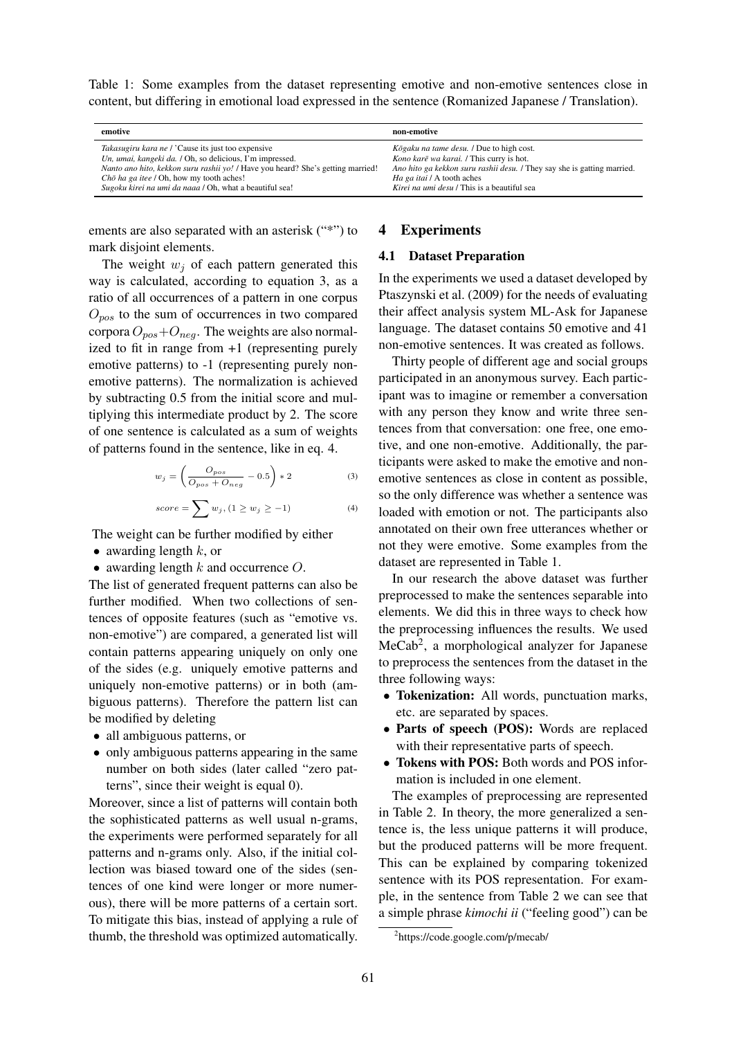Table 1: Some examples from the dataset representing emotive and non-emotive sentences close in content, but differing in emotional load expressed in the sentence (Romanized Japanese / Translation).

| emotive                                                                         | non-emotive                                                             |
|---------------------------------------------------------------------------------|-------------------------------------------------------------------------|
| <i>Takasugiru kara ne / 'Cause its just too expensive</i>                       | Kōgaku na tame desu. / Due to high cost.                                |
| Un, umai, kangeki da. / Oh, so delicious, I'm impressed.                        | Kono karē wa karai. / This curry is hot.                                |
| Nanto ano hito, kekkon suru rashii yo! / Have you heard? She's getting married! | Ano hito ga kekkon suru rashii desu. / They say she is gatting married. |
| $Ch\bar{o}$ ha ga itee / Oh, how my tooth aches!                                | Ha ga itai / A tooth aches                                              |
| Sugoku kirei na umi da naaa / Oh, what a beautiful sea!                         | Kirei na umi desu / This is a beautiful sea                             |

ements are also separated with an asterisk ("\*") to mark disjoint elements.

The weight  $w_i$  of each pattern generated this way is calculated, according to equation 3, as a ratio of all occurrences of a pattern in one corpus  $O_{pos}$  to the sum of occurrences in two compared corpora  $O_{pos}+O_{neg}$ . The weights are also normalized to fit in range from +1 (representing purely emotive patterns) to -1 (representing purely nonemotive patterns). The normalization is achieved by subtracting 0.5 from the initial score and multiplying this intermediate product by 2. The score of one sentence is calculated as a sum of weights of patterns found in the sentence, like in eq. 4.

$$
w_j = \left(\frac{O_{pos}}{O_{pos} + O_{neg}} - 0.5\right) * 2\tag{3}
$$

$$
score = \sum w_j, (1 \ge w_j \ge -1)
$$
 (4)

The weight can be further modified by either

- awarding length  $k$ , or
- awarding length  $k$  and occurrence  $O$ .

The list of generated frequent patterns can also be further modified. When two collections of sentences of opposite features (such as "emotive vs. non-emotive") are compared, a generated list will contain patterns appearing uniquely on only one of the sides (e.g. uniquely emotive patterns and uniquely non-emotive patterns) or in both (ambiguous patterns). Therefore the pattern list can be modified by deleting

- all ambiguous patterns, or
- only ambiguous patterns appearing in the same number on both sides (later called "zero patterns", since their weight is equal 0).

Moreover, since a list of patterns will contain both the sophisticated patterns as well usual n-grams, the experiments were performed separately for all patterns and n-grams only. Also, if the initial collection was biased toward one of the sides (sentences of one kind were longer or more numerous), there will be more patterns of a certain sort. To mitigate this bias, instead of applying a rule of thumb, the threshold was optimized automatically.

## 4 Experiments

#### 4.1 Dataset Preparation

In the experiments we used a dataset developed by Ptaszynski et al. (2009) for the needs of evaluating their affect analysis system ML-Ask for Japanese language. The dataset contains 50 emotive and 41 non-emotive sentences. It was created as follows.

Thirty people of different age and social groups participated in an anonymous survey. Each participant was to imagine or remember a conversation with any person they know and write three sentences from that conversation: one free, one emotive, and one non-emotive. Additionally, the participants were asked to make the emotive and nonemotive sentences as close in content as possible, so the only difference was whether a sentence was loaded with emotion or not. The participants also annotated on their own free utterances whether or not they were emotive. Some examples from the dataset are represented in Table 1.

In our research the above dataset was further preprocessed to make the sentences separable into elements. We did this in three ways to check how the preprocessing influences the results. We used MeCab<sup>2</sup>, a morphological analyzer for Japanese to preprocess the sentences from the dataset in the three following ways:

- Tokenization: All words, punctuation marks, etc. are separated by spaces.
- Parts of speech (POS): Words are replaced with their representative parts of speech.
- Tokens with POS: Both words and POS information is included in one element.

The examples of preprocessing are represented in Table 2. In theory, the more generalized a sentence is, the less unique patterns it will produce, but the produced patterns will be more frequent. This can be explained by comparing tokenized sentence with its POS representation. For example, in the sentence from Table 2 we can see that a simple phrase *kimochi ii* ("feeling good") can be

<sup>2</sup> https://code.google.com/p/mecab/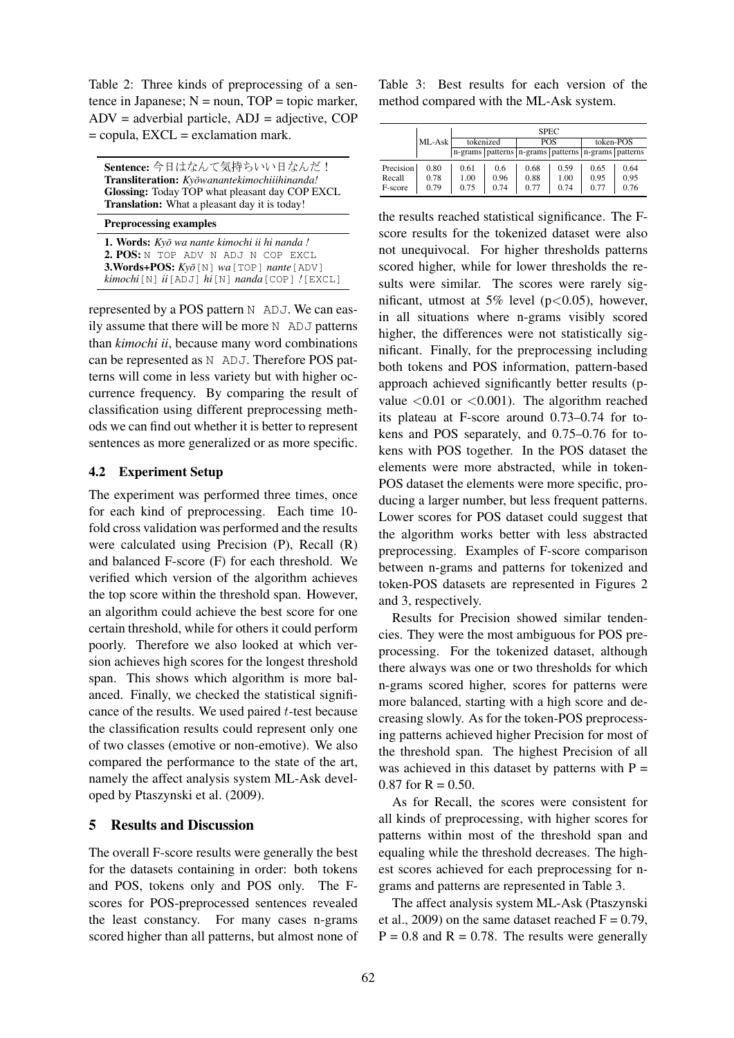Table 2: Three kinds of preprocessing of a sentence in Japanese;  $N =$  noun,  $TOP =$  topic marker,  $ADV = adverbial particle, ADJ = adjective, COP$  $=$  copula,  $EXCL =$  exclamation mark.

| Sentence: 今日はなんて気持ちいい日なんだ!                           |
|------------------------------------------------------|
| Transliteration: Kyōwanantekimochiiihinanda!         |
| Glossing: Today TOP what pleasant day COP EXCL       |
| <b>Translation:</b> What a pleasant day it is today! |
|                                                      |

Preprocessing examples

1. Words: *Kyo wa nante kimochi ii hi nanda ! ¯* 2. POS: N TOP ADV N ADJ N COP EXCL 3.Words+POS: *Kyo¯*[N] *wa*[TOP] *nante*[ADV] *kimochi*[N] *ii*[ADJ] *hi*[N] *nanda*[COP] *!*[EXCL]

represented by a POS pattern N ADJ. We can easily assume that there will be more N ADJ patterns than *kimochi ii*, because many word combinations can be represented as N ADJ. Therefore POS patterns will come in less variety but with higher occurrence frequency. By comparing the result of classification using different preprocessing methods we can find out whether it is better to represent sentences as more generalized or as more specific.

## 4.2 Experiment Setup

The experiment was performed three times, once for each kind of preprocessing. Each time 10 fold cross validation was performed and the results were calculated using Precision (P), Recall (R) and balanced F-score (F) for each threshold. We verified which version of the algorithm achieves the top score within the threshold span. However, an algorithm could achieve the best score for one certain threshold, while for others it could perform poorly. Therefore we also looked at which version achieves high scores for the longest threshold span. This shows which algorithm is more balanced. Finally, we checked the statistical significance of the results. We used paired t-test because the classification results could represent only one of two classes (emotive or non-emotive). We also compared the performance to the state of the art, namely the affect analysis system ML-Ask developed by Ptaszynski et al. (2009).

## 5 Results and Discussion

The overall F-score results were generally the best for the datasets containing in order: both tokens and POS, tokens only and POS only. The Fscores for POS-preprocessed sentences revealed the least constancy. For many cases n-grams scored higher than all patterns, but almost none of Table 3: Best results for each version of the method compared with the ML-Ask system.

|           |        | <b>SPEC</b> |      |                                                              |      |           |      |
|-----------|--------|-------------|------|--------------------------------------------------------------|------|-----------|------|
|           | ML-Ask | tokenized   |      | <b>POS</b>                                                   |      | token-POS |      |
|           |        |             |      | n-grams   patterns   n-grams   patterns   n-grams   patterns |      |           |      |
| Precision | 0.80   | 0.61        | 0.6  | 0.68                                                         | 0.59 | 0.65      | 0.64 |
| Recall    | 0.78   | 1.00        | 0.96 | 0.88                                                         | 1.00 | 0.95      | 0.95 |
| F-score   | 0.79   | 0.75        | 0.74 | 0.77                                                         | 0.74 | 0.77      | 0.76 |

the results reached statistical significance. The Fscore results for the tokenized dataset were also not unequivocal. For higher thresholds patterns scored higher, while for lower thresholds the results were similar. The scores were rarely significant, utmost at 5% level ( $p < 0.05$ ), however, in all situations where n-grams visibly scored higher, the differences were not statistically significant. Finally, for the preprocessing including both tokens and POS information, pattern-based approach achieved significantly better results (pvalue  $\langle 0.01 \text{ or } \langle 0.001 \rangle$ . The algorithm reached its plateau at F-score around 0.73–0.74 for tokens and POS separately, and 0.75–0.76 for tokens with POS together. In the POS dataset the elements were more abstracted, while in token-POS dataset the elements were more specific, producing a larger number, but less frequent patterns. Lower scores for POS dataset could suggest that the algorithm works better with less abstracted preprocessing. Examples of F-score comparison between n-grams and patterns for tokenized and token-POS datasets are represented in Figures 2 and 3, respectively.

Results for Precision showed similar tendencies. They were the most ambiguous for POS preprocessing. For the tokenized dataset, although there always was one or two thresholds for which n-grams scored higher, scores for patterns were more balanced, starting with a high score and decreasing slowly. As for the token-POS preprocessing patterns achieved higher Precision for most of the threshold span. The highest Precision of all was achieved in this dataset by patterns with  $P =$  $0.87$  for R = 0.50.

As for Recall, the scores were consistent for all kinds of preprocessing, with higher scores for patterns within most of the threshold span and equaling while the threshold decreases. The highest scores achieved for each preprocessing for ngrams and patterns are represented in Table 3.

The affect analysis system ML-Ask (Ptaszynski et al., 2009) on the same dataset reached  $F = 0.79$ ,  $P = 0.8$  and  $R = 0.78$ . The results were generally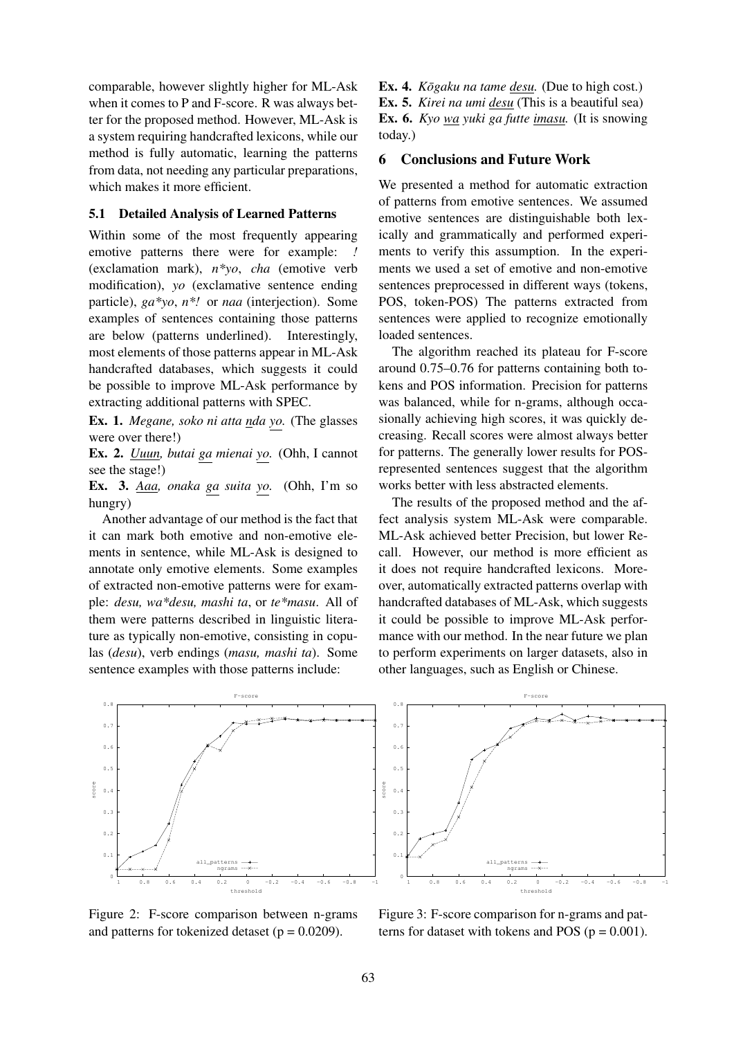comparable, however slightly higher for ML-Ask when it comes to P and F-score. R was always better for the proposed method. However, ML-Ask is a system requiring handcrafted lexicons, while our method is fully automatic, learning the patterns from data, not needing any particular preparations, which makes it more efficient.

#### 5.1 Detailed Analysis of Learned Patterns

Within some of the most frequently appearing emotive patterns there were for example: (exclamation mark), *n\*yo*, *cha* (emotive verb modification), *yo* (exclamative sentence ending particle), *ga\*yo*, *n\*!* or *naa* (interjection). Some examples of sentences containing those patterns are below (patterns underlined). Interestingly, most elements of those patterns appear in ML-Ask handcrafted databases, which suggests it could be possible to improve ML-Ask performance by extracting additional patterns with SPEC.

Ex. 1. *Megane, soko ni atta nda yo.* (The glasses were over there!)

Ex. 2. *Uuun, butai ga mienai yo.* (Ohh, I cannot see the stage!)

Ex. 3. *Aaa, onaka ga suita yo.* (Ohh, I'm so hungry)

Another advantage of our method is the fact that it can mark both emotive and non-emotive elements in sentence, while ML-Ask is designed to annotate only emotive elements. Some examples of extracted non-emotive patterns were for example: *desu, wa\*desu, mashi ta*, or *te\*masu*. All of them were patterns described in linguistic literature as typically non-emotive, consisting in copulas (*desu*), verb endings (*masu, mashi ta*). Some sentence examples with those patterns include:

Ex. 4. *Kōgaku na tame desu*. (Due to high cost.) Ex. 5. *Kirei na umi desu* (This is a beautiful sea) Ex. 6. *Kyo wa yuki ga futte imasu.* (It is snowing today.)

## 6 Conclusions and Future Work

We presented a method for automatic extraction of patterns from emotive sentences. We assumed emotive sentences are distinguishable both lexically and grammatically and performed experiments to verify this assumption. In the experiments we used a set of emotive and non-emotive sentences preprocessed in different ways (tokens, POS, token-POS) The patterns extracted from sentences were applied to recognize emotionally loaded sentences.

The algorithm reached its plateau for F-score around 0.75–0.76 for patterns containing both tokens and POS information. Precision for patterns was balanced, while for n-grams, although occasionally achieving high scores, it was quickly decreasing. Recall scores were almost always better for patterns. The generally lower results for POSrepresented sentences suggest that the algorithm works better with less abstracted elements.

The results of the proposed method and the affect analysis system ML-Ask were comparable. ML-Ask achieved better Precision, but lower Recall. However, our method is more efficient as it does not require handcrafted lexicons. Moreover, automatically extracted patterns overlap with handcrafted databases of ML-Ask, which suggests it could be possible to improve ML-Ask performance with our method. In the near future we plan to perform experiments on larger datasets, also in other languages, such as English or Chinese.



Figure 2: F-score comparison between n-grams and patterns for tokenized detaset ( $p = 0.0209$ ).



Figure 3: F-score comparison for n-grams and patterns for dataset with tokens and POS ( $p = 0.001$ ).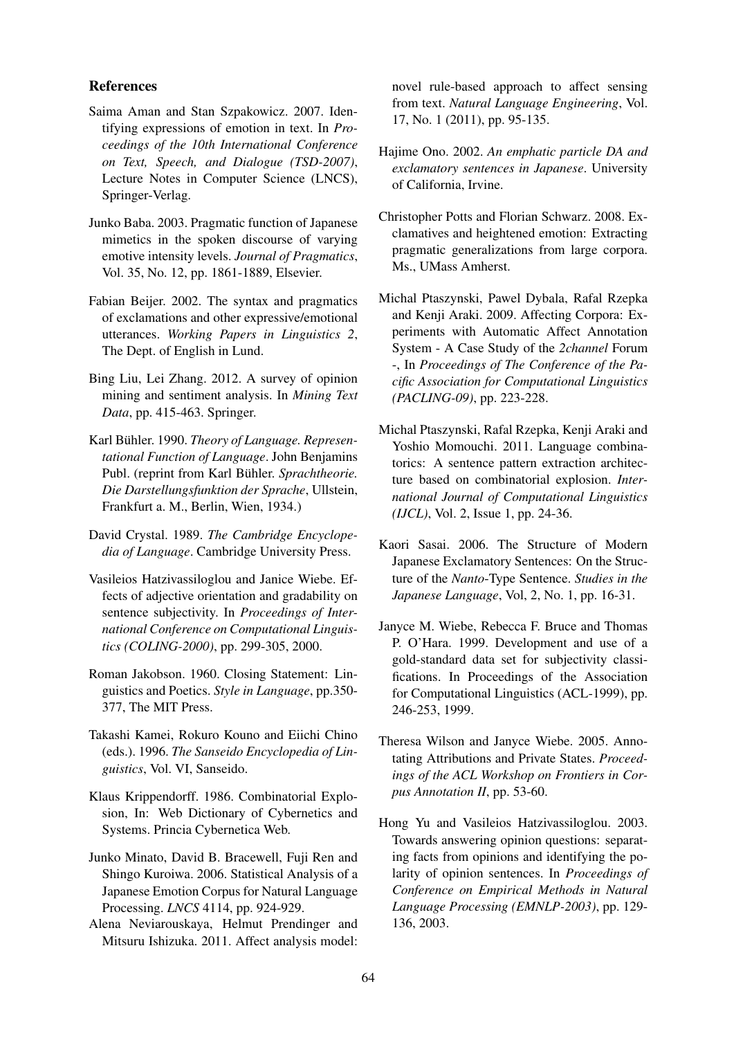#### References

- Saima Aman and Stan Szpakowicz. 2007. Identifying expressions of emotion in text. In *Proceedings of the 10th International Conference on Text, Speech, and Dialogue (TSD-2007)*, Lecture Notes in Computer Science (LNCS), Springer-Verlag.
- Junko Baba. 2003. Pragmatic function of Japanese mimetics in the spoken discourse of varying emotive intensity levels. *Journal of Pragmatics*, Vol. 35, No. 12, pp. 1861-1889, Elsevier.
- Fabian Beijer. 2002. The syntax and pragmatics of exclamations and other expressive/emotional utterances. *Working Papers in Linguistics 2*, The Dept. of English in Lund.
- Bing Liu, Lei Zhang. 2012. A survey of opinion mining and sentiment analysis. In *Mining Text Data*, pp. 415-463. Springer.
- Karl Bühler. 1990. Theory of Language. Represen*tational Function of Language*. John Benjamins Publ. (reprint from Karl Bühler. Sprachtheorie. *Die Darstellungsfunktion der Sprache*, Ullstein, Frankfurt a. M., Berlin, Wien, 1934.)
- David Crystal. 1989. *The Cambridge Encyclopedia of Language*. Cambridge University Press.
- Vasileios Hatzivassiloglou and Janice Wiebe. Effects of adjective orientation and gradability on sentence subjectivity. In *Proceedings of International Conference on Computational Linguistics (COLING-2000)*, pp. 299-305, 2000.
- Roman Jakobson. 1960. Closing Statement: Linguistics and Poetics. *Style in Language*, pp.350- 377, The MIT Press.
- Takashi Kamei, Rokuro Kouno and Eiichi Chino (eds.). 1996. *The Sanseido Encyclopedia of Linguistics*, Vol. VI, Sanseido.
- Klaus Krippendorff. 1986. Combinatorial Explosion, In: Web Dictionary of Cybernetics and Systems. Princia Cybernetica Web.
- Junko Minato, David B. Bracewell, Fuji Ren and Shingo Kuroiwa. 2006. Statistical Analysis of a Japanese Emotion Corpus for Natural Language Processing. *LNCS* 4114, pp. 924-929.
- Alena Neviarouskaya, Helmut Prendinger and Mitsuru Ishizuka. 2011. Affect analysis model:

novel rule-based approach to affect sensing from text. *Natural Language Engineering*, Vol. 17, No. 1 (2011), pp. 95-135.

- Hajime Ono. 2002. *An emphatic particle DA and exclamatory sentences in Japanese*. University of California, Irvine.
- Christopher Potts and Florian Schwarz. 2008. Exclamatives and heightened emotion: Extracting pragmatic generalizations from large corpora. Ms., UMass Amherst.
- Michal Ptaszynski, Pawel Dybala, Rafal Rzepka and Kenji Araki. 2009. Affecting Corpora: Experiments with Automatic Affect Annotation System - A Case Study of the *2channel* Forum -, In *Proceedings of The Conference of the Pacific Association for Computational Linguistics (PACLING-09)*, pp. 223-228.
- Michal Ptaszynski, Rafal Rzepka, Kenji Araki and Yoshio Momouchi. 2011. Language combinatorics: A sentence pattern extraction architecture based on combinatorial explosion. *International Journal of Computational Linguistics (IJCL)*, Vol. 2, Issue 1, pp. 24-36.
- Kaori Sasai. 2006. The Structure of Modern Japanese Exclamatory Sentences: On the Structure of the *Nanto*-Type Sentence. *Studies in the Japanese Language*, Vol, 2, No. 1, pp. 16-31.
- Janyce M. Wiebe, Rebecca F. Bruce and Thomas P. O'Hara. 1999. Development and use of a gold-standard data set for subjectivity classifications. In Proceedings of the Association for Computational Linguistics (ACL-1999), pp. 246-253, 1999.
- Theresa Wilson and Janyce Wiebe. 2005. Annotating Attributions and Private States. *Proceedings of the ACL Workshop on Frontiers in Corpus Annotation II*, pp. 53-60.
- Hong Yu and Vasileios Hatzivassiloglou. 2003. Towards answering opinion questions: separating facts from opinions and identifying the polarity of opinion sentences. In *Proceedings of Conference on Empirical Methods in Natural Language Processing (EMNLP-2003)*, pp. 129- 136, 2003.